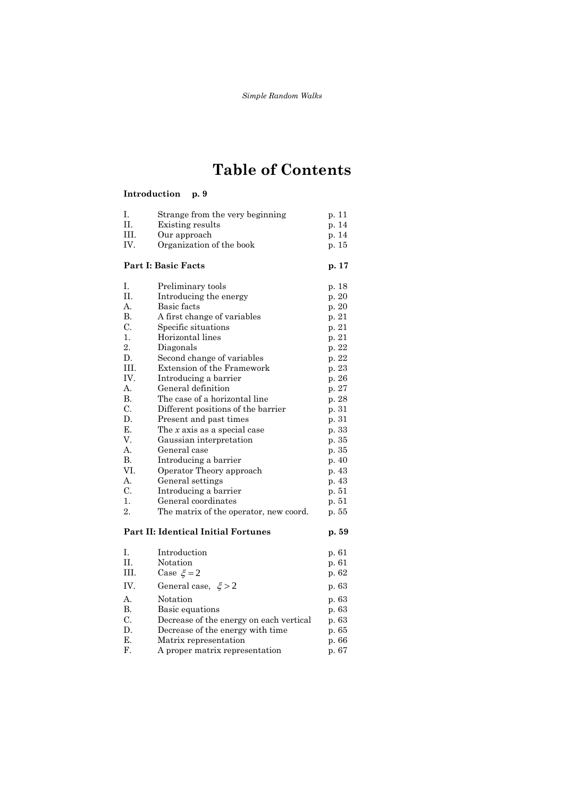# **Table of Contents**

#### **Introduction p. 9**

| Ι.                                  | Strange from the very beginning         | p. 11 |
|-------------------------------------|-----------------------------------------|-------|
| П.                                  | Existing results                        | p. 14 |
| III.                                | Our approach                            | p. 14 |
| IV.                                 | Organization of the book                | p. 15 |
| <b>Part I: Basic Facts</b>          |                                         | p. 17 |
| Ι.                                  | Preliminary tools                       | p. 18 |
| П.                                  | Introducing the energy                  | p. 20 |
| A.                                  | Basic facts                             | p. 20 |
| В.                                  | A first change of variables             | p. 21 |
| C.                                  | Specific situations                     | p. 21 |
| 1.                                  | Horizontal lines                        | p. 21 |
| $\overline{2}$ .                    | Diagonals                               | p. 22 |
| D.                                  | Second change of variables              | p. 22 |
| HI.                                 | Extension of the Framework              | p. 23 |
| IV.                                 | Introducing a barrier                   | p. 26 |
| A.                                  | General definition                      | p. 27 |
| В.                                  | The case of a horizontal line           | p. 28 |
| C.                                  | Different positions of the barrier      | p. 31 |
| D.                                  | Present and past times                  | p. 31 |
| Ε.                                  | The $x$ axis as a special case          | p. 33 |
| V.                                  | Gaussian interpretation                 | p. 35 |
| А.                                  | General case                            | p. 35 |
| В.                                  | Introducing a barrier                   | p. 40 |
| VI.                                 | Operator Theory approach                | p. 43 |
| $A_{\cdot}$                         | General settings                        | p. 43 |
| C.                                  | Introducing a barrier                   | p. 51 |
| 1.                                  | General coordinates                     | p. 51 |
| 2.                                  | The matrix of the operator, new coord.  | p. 55 |
| Part II: Identical Initial Fortunes |                                         | p. 59 |
| Ι.                                  | Introduction                            | p. 61 |
| $\Pi$ .                             | Notation                                | p. 61 |
| III.                                | Case $\xi = 2$                          | p. 62 |
| IV.                                 | General case, $\xi > 2$                 | p. 63 |
| А.                                  | Notation                                | p. 63 |
| B.                                  | Basic equations                         | p. 63 |
| C.                                  | Decrease of the energy on each vertical | p. 63 |
| D.                                  | Decrease of the energy with time        | p. 65 |
| E.                                  | Matrix representation                   | p. 66 |
| F.                                  | A proper matrix representation          | p. 67 |
|                                     |                                         |       |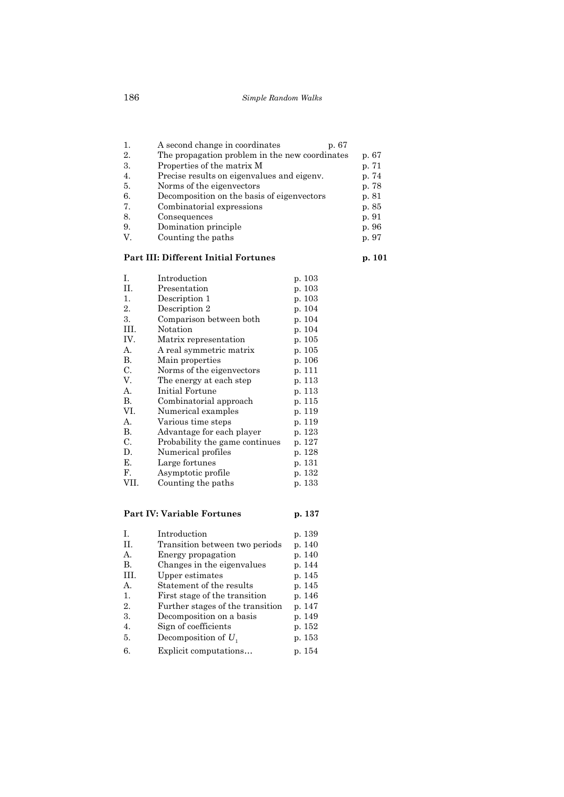| 1. | A second change in coordinates<br>p. 67        |       |
|----|------------------------------------------------|-------|
| 2. | The propagation problem in the new coordinates | p. 67 |
| 3. | Properties of the matrix M                     | p. 71 |
| 4. | Precise results on eigenvalues and eigenv.     | p. 74 |
| 5. | Norms of the eigenvectors                      | p. 78 |
| 6. | Decomposition on the basis of eigenvectors     | p. 81 |
| 7. | Combinatorial expressions                      | p. 85 |
| 8. | Consequences                                   | p. 91 |
| 9. | Domination principle                           | p. 96 |
| V. | Counting the paths                             | p. 97 |

### **Part III: Different Initial Fortunes p. 101**

| I.   | Introduction                   | p. 103 |
|------|--------------------------------|--------|
| П.   | Presentation                   | p. 103 |
| 1.   | Description 1                  | p. 103 |
| 2.   | Description 2                  | p. 104 |
| 3.   | Comparison between both        | p. 104 |
| III. | Notation                       | p. 104 |
| IV.  | Matrix representation          | p. 105 |
| А.   | A real symmetric matrix        | p. 105 |
| В.   | Main properties                | p. 106 |
| C.   | Norms of the eigenvectors      | p. 111 |
| V.   | The energy at each step        | p. 113 |
| А.   | Initial Fortune                | p. 113 |
| В.   | Combinatorial approach         | p. 115 |
| VI.  | Numerical examples             | p. 119 |
| А.   | Various time steps             | p. 119 |
| В.   | Advantage for each player      | p. 123 |
| С.   | Probability the game continues | p. 127 |
| D.   | Numerical profiles             | p. 128 |
| Е.   | Large fortunes                 | p. 131 |
| F.   | Asymptotic profile             | p. 132 |
| VII. | Counting the paths             | p. 133 |
|      |                                |        |

## **Part IV: Variable Fortunes p. 137**

| $\mathbf{L}$ | Introduction                     | p. 139 |
|--------------|----------------------------------|--------|
| H.           | Transition between two periods   | p. 140 |
| A.           | Energy propagation               | p. 140 |
| В.           | Changes in the eigenvalues       | p. 144 |
| III.         | Upper estimates                  | p. 145 |
| A.           | Statement of the results         | p. 145 |
| 1.           | First stage of the transition    | p. 146 |
| 2.           | Further stages of the transition | p. 147 |
| 3.           | Decomposition on a basis         | p. 149 |
| 4.           | Sign of coefficients             | p. 152 |
| 5.           | Decomposition of $U_1$           | p. 153 |
| 6.           | Explicit computations            | p. 154 |